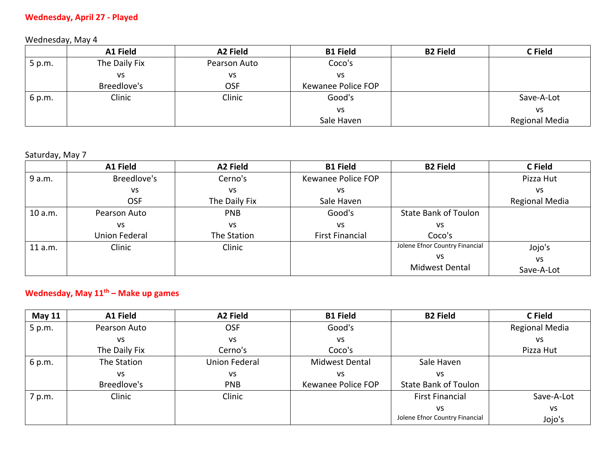### **Wednesday, April 27 - Played**

Wednesday, May 4

|        | A1 Field      | A2 Field     | <b>B1 Field</b>    | <b>B2 Field</b> | C Field        |
|--------|---------------|--------------|--------------------|-----------------|----------------|
| 5 p.m. | The Daily Fix | Pearson Auto | Coco's             |                 |                |
|        | VS            | VS           | <b>VS</b>          |                 |                |
|        | Breedlove's   | <b>OSF</b>   | Kewanee Police FOP |                 |                |
| 6 p.m. | Clinic        | Clinic       | Good's             |                 | Save-A-Lot     |
|        |               |              | <b>VS</b>          |                 | VS             |
|        |               |              | Sale Haven         |                 | Regional Media |

#### Saturday, May 7

|         | A1 Field      | A2 Field      | <b>B1 Field</b>        | <b>B2 Field</b>                | C Field               |
|---------|---------------|---------------|------------------------|--------------------------------|-----------------------|
| 9 a.m.  | Breedlove's   | Cerno's       | Kewanee Police FOP     |                                | Pizza Hut             |
|         | VS            | VS            | vs                     |                                | VS                    |
|         | <b>OSF</b>    | The Daily Fix | Sale Haven             |                                | <b>Regional Media</b> |
| 10 a.m. | Pearson Auto  | <b>PNB</b>    | Good's                 | <b>State Bank of Toulon</b>    |                       |
|         | VS            | VS            | VS                     | VS                             |                       |
|         | Union Federal | The Station   | <b>First Financial</b> | Coco's                         |                       |
| 11 a.m. | Clinic        | Clinic        |                        | Jolene Efnor Country Financial | Jojo's                |
|         |               |               |                        | vs                             | <b>VS</b>             |
|         |               |               |                        | <b>Midwest Dental</b>          | Save-A-Lot            |

# **Wednesday, May 11th – Make up games**

| <b>May 11</b> | A1 Field      | A2 Field             | <b>B1 Field</b>    | <b>B2 Field</b>                | C Field        |
|---------------|---------------|----------------------|--------------------|--------------------------------|----------------|
| 5 p.m.        | Pearson Auto  | <b>OSF</b>           | Good's             |                                | Regional Media |
|               | VS            | VS                   | <b>VS</b>          |                                | <b>VS</b>      |
|               | The Daily Fix | Cerno's              | Coco's             |                                | Pizza Hut      |
| 6 p.m.        | The Station   | <b>Union Federal</b> | Midwest Dental     | Sale Haven                     |                |
|               | VS            | VS                   | VS                 | VS                             |                |
|               | Breedlove's   | <b>PNB</b>           | Kewanee Police FOP | <b>State Bank of Toulon</b>    |                |
| 7 p.m.        | Clinic        | Clinic               |                    | <b>First Financial</b>         | Save-A-Lot     |
|               |               |                      |                    | VS                             | VS             |
|               |               |                      |                    | Jolene Efnor Country Financial | Jojo's         |